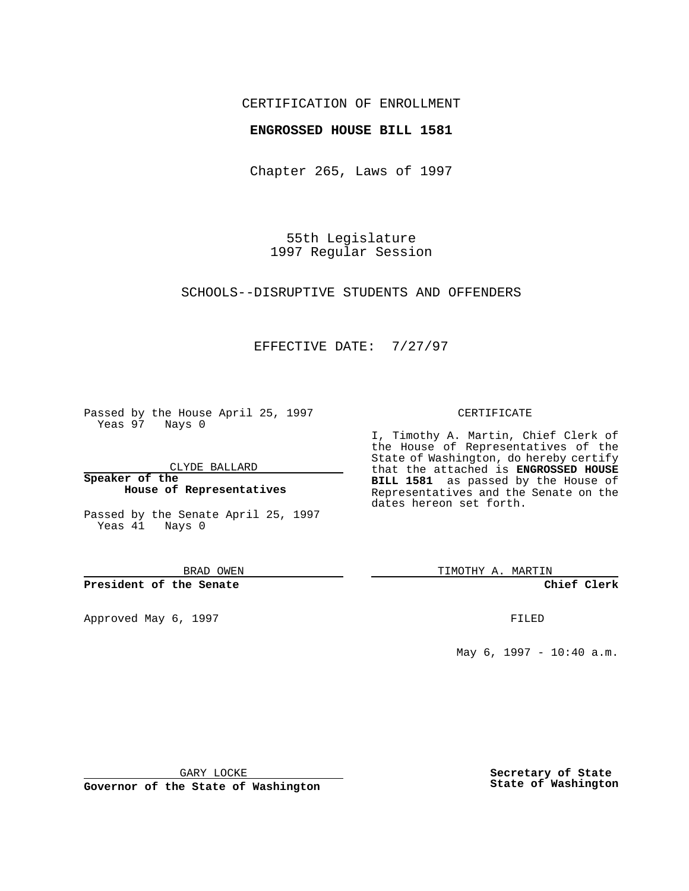## CERTIFICATION OF ENROLLMENT

### **ENGROSSED HOUSE BILL 1581**

Chapter 265, Laws of 1997

55th Legislature 1997 Regular Session

SCHOOLS--DISRUPTIVE STUDENTS AND OFFENDERS

## EFFECTIVE DATE: 7/27/97

Passed by the House April 25, 1997 Yeas 97 Nays 0

CLYDE BALLARD

**Speaker of the House of Representatives**

Passed by the Senate April 25, 1997 Yeas 41 Nays 0

BRAD OWEN

**President of the Senate**

Approved May 6, 1997 **FILED** 

#### CERTIFICATE

I, Timothy A. Martin, Chief Clerk of the House of Representatives of the State of Washington, do hereby certify that the attached is **ENGROSSED HOUSE BILL 1581** as passed by the House of Representatives and the Senate on the dates hereon set forth.

TIMOTHY A. MARTIN

**Chief Clerk**

May 6, 1997 - 10:40 a.m.

GARY LOCKE

**Governor of the State of Washington**

**Secretary of State State of Washington**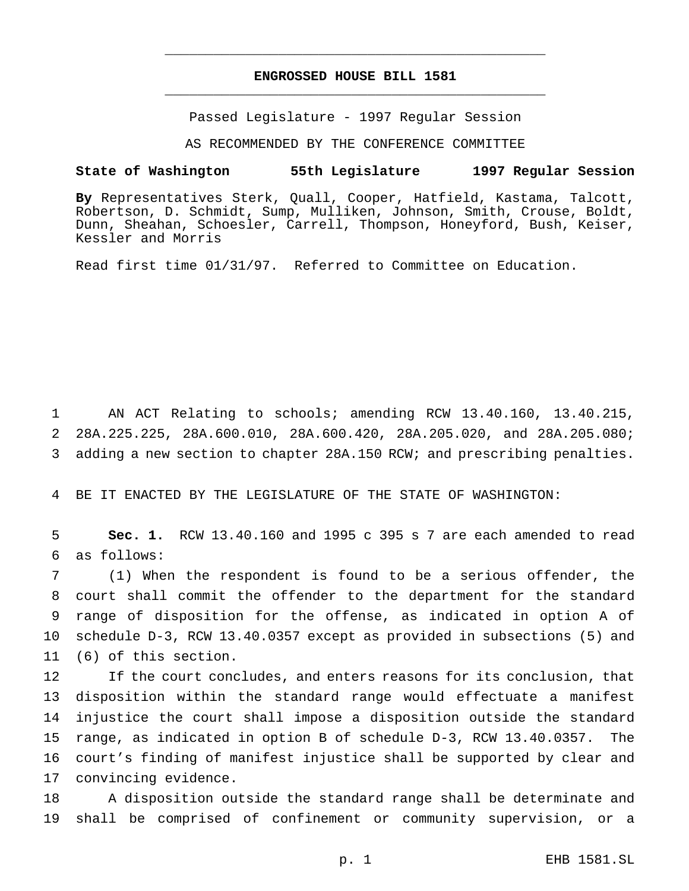# **ENGROSSED HOUSE BILL 1581** \_\_\_\_\_\_\_\_\_\_\_\_\_\_\_\_\_\_\_\_\_\_\_\_\_\_\_\_\_\_\_\_\_\_\_\_\_\_\_\_\_\_\_\_\_\_\_

\_\_\_\_\_\_\_\_\_\_\_\_\_\_\_\_\_\_\_\_\_\_\_\_\_\_\_\_\_\_\_\_\_\_\_\_\_\_\_\_\_\_\_\_\_\_\_

Passed Legislature - 1997 Regular Session

AS RECOMMENDED BY THE CONFERENCE COMMITTEE

#### **State of Washington 55th Legislature 1997 Regular Session**

**By** Representatives Sterk, Quall, Cooper, Hatfield, Kastama, Talcott, Robertson, D. Schmidt, Sump, Mulliken, Johnson, Smith, Crouse, Boldt, Dunn, Sheahan, Schoesler, Carrell, Thompson, Honeyford, Bush, Keiser, Kessler and Morris

Read first time 01/31/97. Referred to Committee on Education.

 AN ACT Relating to schools; amending RCW 13.40.160, 13.40.215, 28A.225.225, 28A.600.010, 28A.600.420, 28A.205.020, and 28A.205.080; adding a new section to chapter 28A.150 RCW; and prescribing penalties.

BE IT ENACTED BY THE LEGISLATURE OF THE STATE OF WASHINGTON:

 **Sec. 1.** RCW 13.40.160 and 1995 c 395 s 7 are each amended to read as follows:

 (1) When the respondent is found to be a serious offender, the court shall commit the offender to the department for the standard range of disposition for the offense, as indicated in option A of schedule D-3, RCW 13.40.0357 except as provided in subsections (5) and (6) of this section.

 If the court concludes, and enters reasons for its conclusion, that disposition within the standard range would effectuate a manifest injustice the court shall impose a disposition outside the standard range, as indicated in option B of schedule D-3, RCW 13.40.0357. The court's finding of manifest injustice shall be supported by clear and convincing evidence.

 A disposition outside the standard range shall be determinate and shall be comprised of confinement or community supervision, or a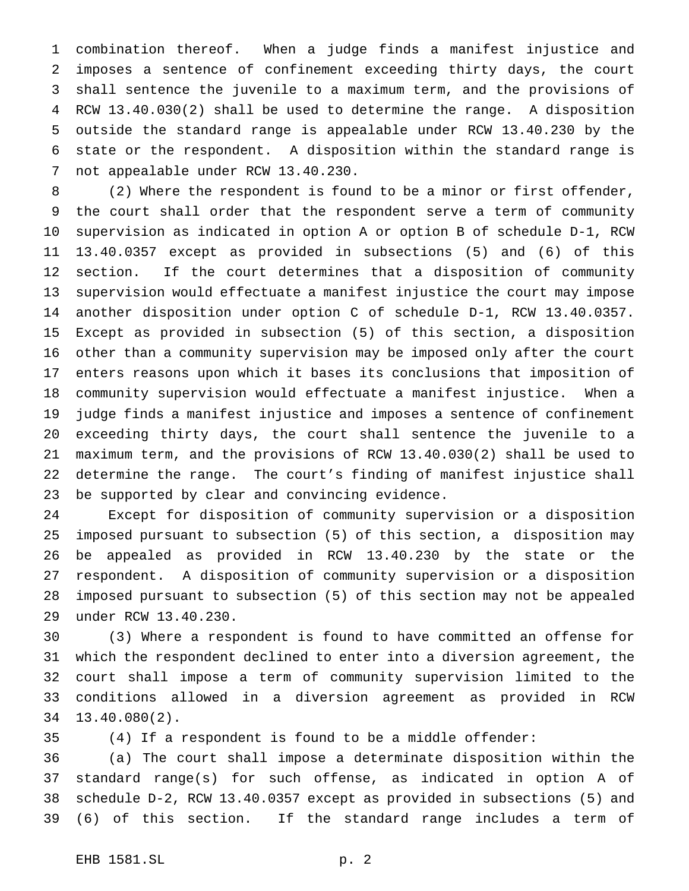combination thereof. When a judge finds a manifest injustice and imposes a sentence of confinement exceeding thirty days, the court shall sentence the juvenile to a maximum term, and the provisions of RCW 13.40.030(2) shall be used to determine the range. A disposition outside the standard range is appealable under RCW 13.40.230 by the state or the respondent. A disposition within the standard range is not appealable under RCW 13.40.230.

 (2) Where the respondent is found to be a minor or first offender, the court shall order that the respondent serve a term of community supervision as indicated in option A or option B of schedule D-1, RCW 13.40.0357 except as provided in subsections (5) and (6) of this section. If the court determines that a disposition of community supervision would effectuate a manifest injustice the court may impose another disposition under option C of schedule D-1, RCW 13.40.0357. Except as provided in subsection (5) of this section, a disposition other than a community supervision may be imposed only after the court enters reasons upon which it bases its conclusions that imposition of community supervision would effectuate a manifest injustice. When a judge finds a manifest injustice and imposes a sentence of confinement exceeding thirty days, the court shall sentence the juvenile to a maximum term, and the provisions of RCW 13.40.030(2) shall be used to determine the range. The court's finding of manifest injustice shall be supported by clear and convincing evidence.

 Except for disposition of community supervision or a disposition imposed pursuant to subsection (5) of this section, a disposition may be appealed as provided in RCW 13.40.230 by the state or the respondent. A disposition of community supervision or a disposition imposed pursuant to subsection (5) of this section may not be appealed under RCW 13.40.230.

 (3) Where a respondent is found to have committed an offense for which the respondent declined to enter into a diversion agreement, the court shall impose a term of community supervision limited to the conditions allowed in a diversion agreement as provided in RCW 13.40.080(2).

(4) If a respondent is found to be a middle offender:

 (a) The court shall impose a determinate disposition within the standard range(s) for such offense, as indicated in option A of schedule D-2, RCW 13.40.0357 except as provided in subsections (5) and (6) of this section. If the standard range includes a term of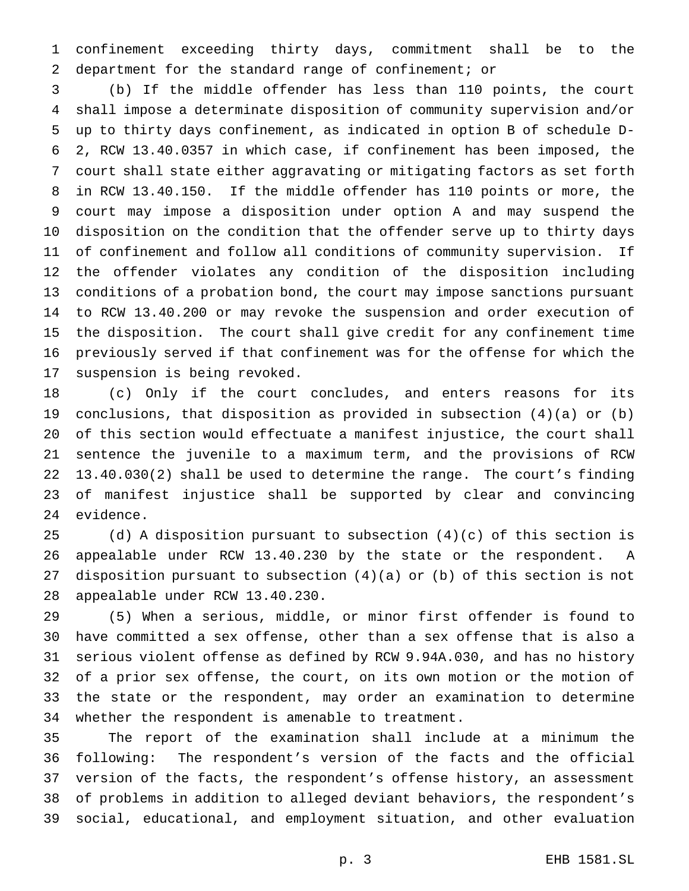confinement exceeding thirty days, commitment shall be to the department for the standard range of confinement; or

 (b) If the middle offender has less than 110 points, the court shall impose a determinate disposition of community supervision and/or up to thirty days confinement, as indicated in option B of schedule D- 2, RCW 13.40.0357 in which case, if confinement has been imposed, the court shall state either aggravating or mitigating factors as set forth in RCW 13.40.150. If the middle offender has 110 points or more, the court may impose a disposition under option A and may suspend the disposition on the condition that the offender serve up to thirty days of confinement and follow all conditions of community supervision. If the offender violates any condition of the disposition including conditions of a probation bond, the court may impose sanctions pursuant to RCW 13.40.200 or may revoke the suspension and order execution of the disposition. The court shall give credit for any confinement time previously served if that confinement was for the offense for which the suspension is being revoked.

 (c) Only if the court concludes, and enters reasons for its conclusions, that disposition as provided in subsection (4)(a) or (b) of this section would effectuate a manifest injustice, the court shall sentence the juvenile to a maximum term, and the provisions of RCW 13.40.030(2) shall be used to determine the range. The court's finding of manifest injustice shall be supported by clear and convincing evidence.

 (d) A disposition pursuant to subsection (4)(c) of this section is appealable under RCW 13.40.230 by the state or the respondent. A disposition pursuant to subsection (4)(a) or (b) of this section is not appealable under RCW 13.40.230.

 (5) When a serious, middle, or minor first offender is found to have committed a sex offense, other than a sex offense that is also a serious violent offense as defined by RCW 9.94A.030, and has no history of a prior sex offense, the court, on its own motion or the motion of the state or the respondent, may order an examination to determine whether the respondent is amenable to treatment.

 The report of the examination shall include at a minimum the following: The respondent's version of the facts and the official version of the facts, the respondent's offense history, an assessment of problems in addition to alleged deviant behaviors, the respondent's social, educational, and employment situation, and other evaluation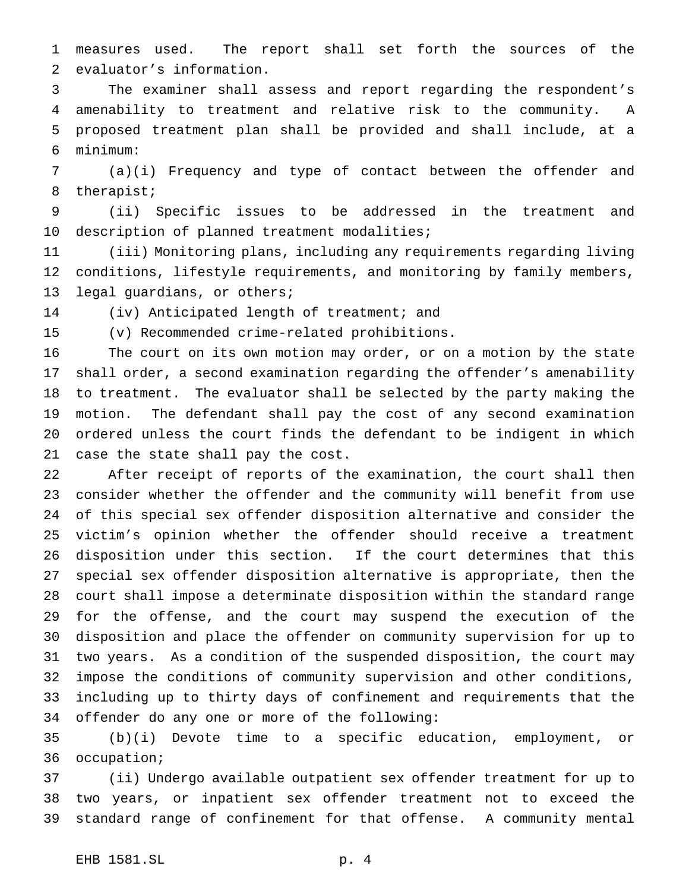measures used. The report shall set forth the sources of the evaluator's information.

 The examiner shall assess and report regarding the respondent's amenability to treatment and relative risk to the community. A proposed treatment plan shall be provided and shall include, at a minimum:

 (a)(i) Frequency and type of contact between the offender and therapist;

 (ii) Specific issues to be addressed in the treatment and description of planned treatment modalities;

 (iii) Monitoring plans, including any requirements regarding living conditions, lifestyle requirements, and monitoring by family members, legal guardians, or others;

(iv) Anticipated length of treatment; and

(v) Recommended crime-related prohibitions.

 The court on its own motion may order, or on a motion by the state shall order, a second examination regarding the offender's amenability to treatment. The evaluator shall be selected by the party making the motion. The defendant shall pay the cost of any second examination ordered unless the court finds the defendant to be indigent in which case the state shall pay the cost.

 After receipt of reports of the examination, the court shall then consider whether the offender and the community will benefit from use of this special sex offender disposition alternative and consider the victim's opinion whether the offender should receive a treatment disposition under this section. If the court determines that this special sex offender disposition alternative is appropriate, then the court shall impose a determinate disposition within the standard range for the offense, and the court may suspend the execution of the disposition and place the offender on community supervision for up to two years. As a condition of the suspended disposition, the court may impose the conditions of community supervision and other conditions, including up to thirty days of confinement and requirements that the offender do any one or more of the following:

 (b)(i) Devote time to a specific education, employment, or occupation;

 (ii) Undergo available outpatient sex offender treatment for up to two years, or inpatient sex offender treatment not to exceed the standard range of confinement for that offense. A community mental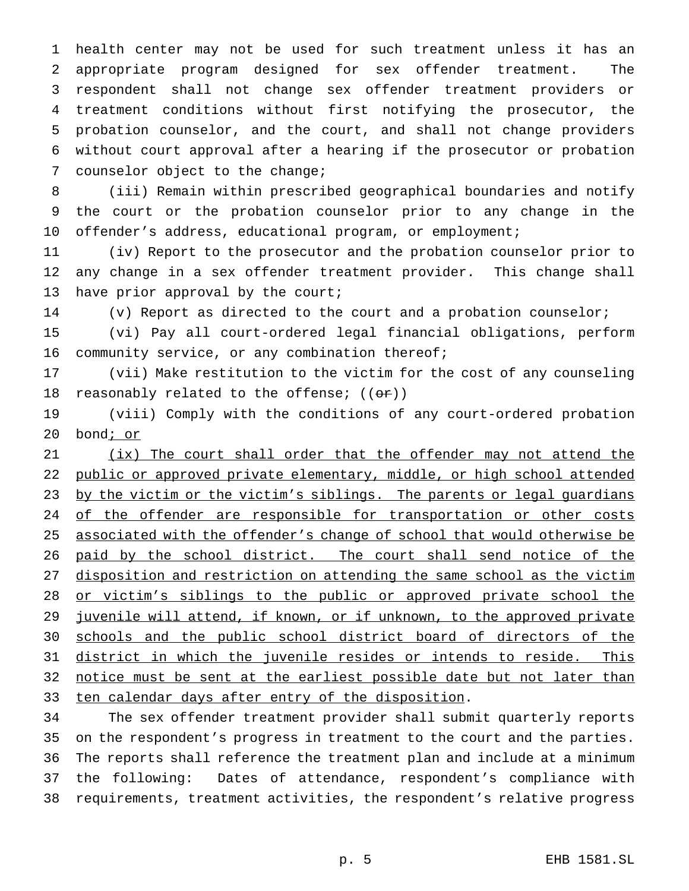health center may not be used for such treatment unless it has an appropriate program designed for sex offender treatment. The respondent shall not change sex offender treatment providers or treatment conditions without first notifying the prosecutor, the probation counselor, and the court, and shall not change providers without court approval after a hearing if the prosecutor or probation counselor object to the change;

 (iii) Remain within prescribed geographical boundaries and notify the court or the probation counselor prior to any change in the offender's address, educational program, or employment;

 (iv) Report to the prosecutor and the probation counselor prior to any change in a sex offender treatment provider. This change shall 13 have prior approval by the court;

(v) Report as directed to the court and a probation counselor;

 (vi) Pay all court-ordered legal financial obligations, perform 16 community service, or any combination thereof;

 (vii) Make restitution to the victim for the cost of any counseling 18 reasonably related to the offense;  $((\theta \cdot \mathbf{r}))$ 

 (viii) Comply with the conditions of any court-ordered probation bond; or

21 (ix) The court shall order that the offender may not attend the public or approved private elementary, middle, or high school attended 23 by the victim or the victim's siblings. The parents or legal guardians 24 of the offender are responsible for transportation or other costs 25 associated with the offender's change of school that would otherwise be 26 paid by the school district. The court shall send notice of the disposition and restriction on attending the same school as the victim 28 or victim's siblings to the public or approved private school the 29 juvenile will attend, if known, or if unknown, to the approved private schools and the public school district board of directors of the district in which the juvenile resides or intends to reside. This 32 notice must be sent at the earliest possible date but not later than 33 ten calendar days after entry of the disposition.

 The sex offender treatment provider shall submit quarterly reports on the respondent's progress in treatment to the court and the parties. The reports shall reference the treatment plan and include at a minimum the following: Dates of attendance, respondent's compliance with requirements, treatment activities, the respondent's relative progress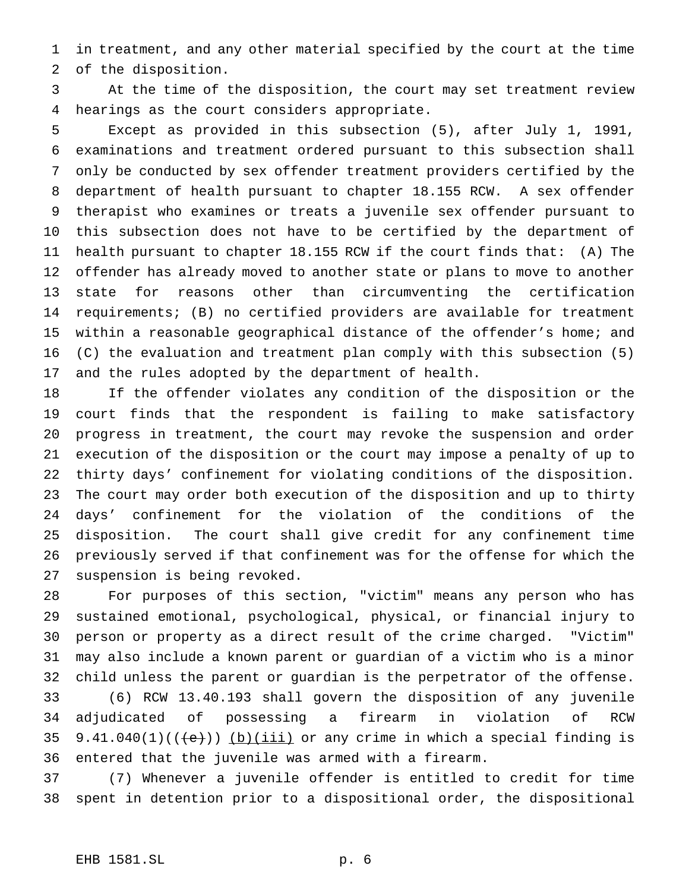in treatment, and any other material specified by the court at the time of the disposition.

 At the time of the disposition, the court may set treatment review hearings as the court considers appropriate.

 Except as provided in this subsection (5), after July 1, 1991, examinations and treatment ordered pursuant to this subsection shall only be conducted by sex offender treatment providers certified by the department of health pursuant to chapter 18.155 RCW. A sex offender therapist who examines or treats a juvenile sex offender pursuant to this subsection does not have to be certified by the department of health pursuant to chapter 18.155 RCW if the court finds that: (A) The offender has already moved to another state or plans to move to another state for reasons other than circumventing the certification requirements; (B) no certified providers are available for treatment within a reasonable geographical distance of the offender's home; and (C) the evaluation and treatment plan comply with this subsection (5) and the rules adopted by the department of health.

 If the offender violates any condition of the disposition or the court finds that the respondent is failing to make satisfactory progress in treatment, the court may revoke the suspension and order execution of the disposition or the court may impose a penalty of up to thirty days' confinement for violating conditions of the disposition. The court may order both execution of the disposition and up to thirty days' confinement for the violation of the conditions of the disposition. The court shall give credit for any confinement time previously served if that confinement was for the offense for which the suspension is being revoked.

 For purposes of this section, "victim" means any person who has sustained emotional, psychological, physical, or financial injury to person or property as a direct result of the crime charged. "Victim" may also include a known parent or guardian of a victim who is a minor child unless the parent or guardian is the perpetrator of the offense. (6) RCW 13.40.193 shall govern the disposition of any juvenile adjudicated of possessing a firearm in violation of RCW 35 9.41.040(1)( $(\overleftrightarrow{e})$ ) (b)(iii) or any crime in which a special finding is entered that the juvenile was armed with a firearm.

 (7) Whenever a juvenile offender is entitled to credit for time spent in detention prior to a dispositional order, the dispositional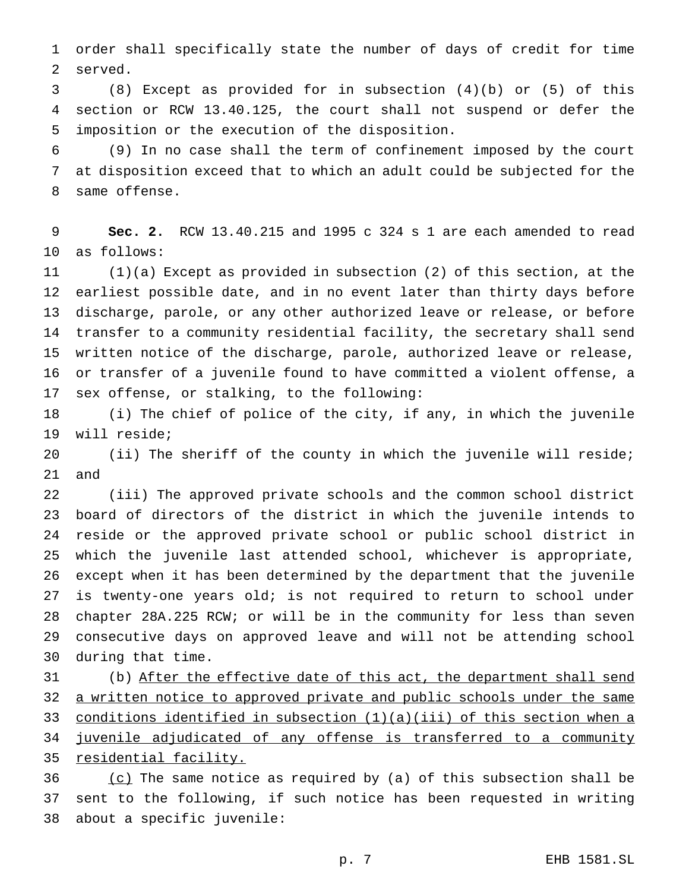order shall specifically state the number of days of credit for time served.

 (8) Except as provided for in subsection (4)(b) or (5) of this section or RCW 13.40.125, the court shall not suspend or defer the imposition or the execution of the disposition.

 (9) In no case shall the term of confinement imposed by the court at disposition exceed that to which an adult could be subjected for the same offense.

 **Sec. 2.** RCW 13.40.215 and 1995 c 324 s 1 are each amended to read as follows:

 (1)(a) Except as provided in subsection (2) of this section, at the earliest possible date, and in no event later than thirty days before discharge, parole, or any other authorized leave or release, or before transfer to a community residential facility, the secretary shall send written notice of the discharge, parole, authorized leave or release, or transfer of a juvenile found to have committed a violent offense, a sex offense, or stalking, to the following:

 (i) The chief of police of the city, if any, in which the juvenile will reside;

 (ii) The sheriff of the county in which the juvenile will reside; and

 (iii) The approved private schools and the common school district board of directors of the district in which the juvenile intends to reside or the approved private school or public school district in which the juvenile last attended school, whichever is appropriate, except when it has been determined by the department that the juvenile is twenty-one years old; is not required to return to school under chapter 28A.225 RCW; or will be in the community for less than seven consecutive days on approved leave and will not be attending school during that time.

 (b) After the effective date of this act, the department shall send 32 a written notice to approved private and public schools under the same conditions identified in subsection (1)(a)(iii) of this section when a juvenile adjudicated of any offense is transferred to a community 35 residential facility.

 (c) The same notice as required by (a) of this subsection shall be sent to the following, if such notice has been requested in writing about a specific juvenile: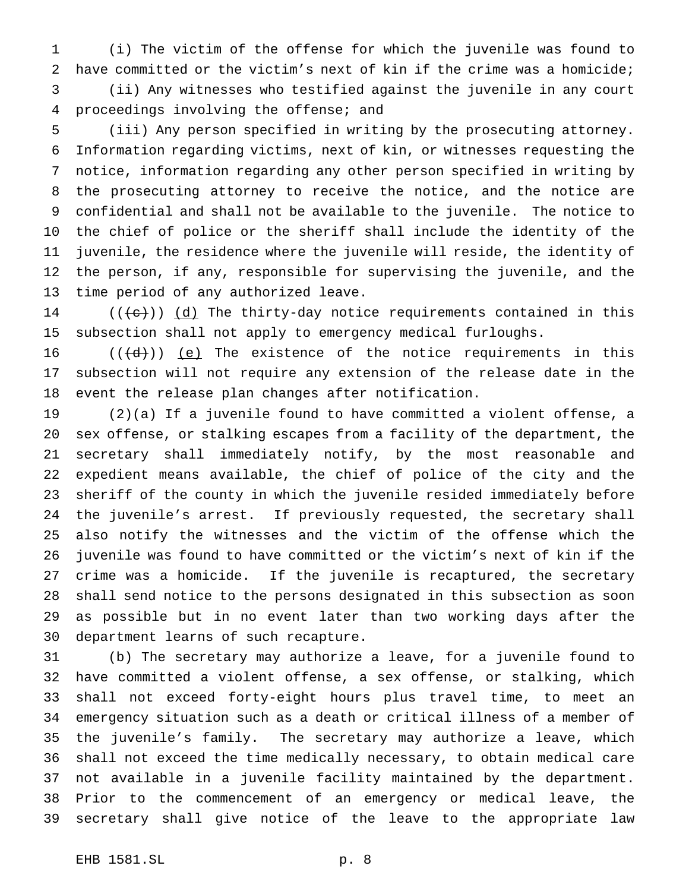(i) The victim of the offense for which the juvenile was found to have committed or the victim's next of kin if the crime was a homicide; (ii) Any witnesses who testified against the juvenile in any court proceedings involving the offense; and

 (iii) Any person specified in writing by the prosecuting attorney. Information regarding victims, next of kin, or witnesses requesting the notice, information regarding any other person specified in writing by the prosecuting attorney to receive the notice, and the notice are confidential and shall not be available to the juvenile. The notice to the chief of police or the sheriff shall include the identity of the juvenile, the residence where the juvenile will reside, the identity of the person, if any, responsible for supervising the juvenile, and the time period of any authorized leave.

14 ( $(\{e\})$ )  $\underline{d}$  The thirty-day notice requirements contained in this subsection shall not apply to emergency medical furloughs.

16  $((\{d\})$  (e) The existence of the notice requirements in this subsection will not require any extension of the release date in the event the release plan changes after notification.

 (2)(a) If a juvenile found to have committed a violent offense, a sex offense, or stalking escapes from a facility of the department, the secretary shall immediately notify, by the most reasonable and expedient means available, the chief of police of the city and the sheriff of the county in which the juvenile resided immediately before the juvenile's arrest. If previously requested, the secretary shall also notify the witnesses and the victim of the offense which the juvenile was found to have committed or the victim's next of kin if the crime was a homicide. If the juvenile is recaptured, the secretary shall send notice to the persons designated in this subsection as soon as possible but in no event later than two working days after the department learns of such recapture.

 (b) The secretary may authorize a leave, for a juvenile found to have committed a violent offense, a sex offense, or stalking, which shall not exceed forty-eight hours plus travel time, to meet an emergency situation such as a death or critical illness of a member of the juvenile's family. The secretary may authorize a leave, which shall not exceed the time medically necessary, to obtain medical care not available in a juvenile facility maintained by the department. Prior to the commencement of an emergency or medical leave, the secretary shall give notice of the leave to the appropriate law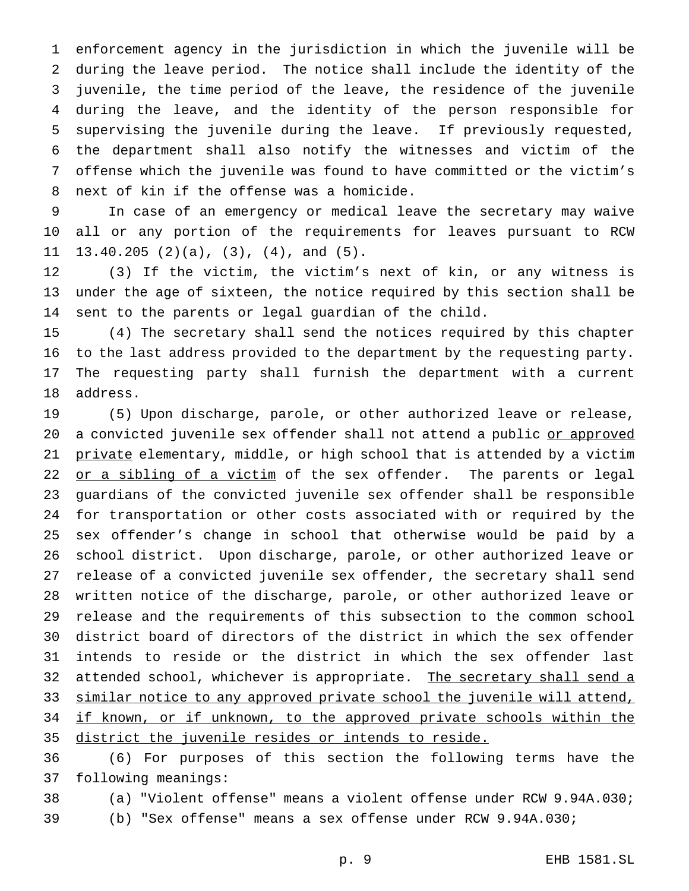enforcement agency in the jurisdiction in which the juvenile will be during the leave period. The notice shall include the identity of the juvenile, the time period of the leave, the residence of the juvenile during the leave, and the identity of the person responsible for supervising the juvenile during the leave. If previously requested, the department shall also notify the witnesses and victim of the offense which the juvenile was found to have committed or the victim's next of kin if the offense was a homicide.

 In case of an emergency or medical leave the secretary may waive all or any portion of the requirements for leaves pursuant to RCW 13.40.205 (2)(a), (3), (4), and (5).

 (3) If the victim, the victim's next of kin, or any witness is under the age of sixteen, the notice required by this section shall be sent to the parents or legal guardian of the child.

 (4) The secretary shall send the notices required by this chapter to the last address provided to the department by the requesting party. The requesting party shall furnish the department with a current address.

 (5) Upon discharge, parole, or other authorized leave or release, 20 a convicted juvenile sex offender shall not attend a public or approved 21 private elementary, middle, or high school that is attended by a victim 22 or a sibling of a victim of the sex offender. The parents or legal guardians of the convicted juvenile sex offender shall be responsible for transportation or other costs associated with or required by the sex offender's change in school that otherwise would be paid by a school district. Upon discharge, parole, or other authorized leave or release of a convicted juvenile sex offender, the secretary shall send written notice of the discharge, parole, or other authorized leave or release and the requirements of this subsection to the common school district board of directors of the district in which the sex offender intends to reside or the district in which the sex offender last 32 attended school, whichever is appropriate. The secretary shall send a 33 similar notice to any approved private school the juvenile will attend, 34 if known, or if unknown, to the approved private schools within the district the juvenile resides or intends to reside.

 (6) For purposes of this section the following terms have the following meanings:

 (a) "Violent offense" means a violent offense under RCW 9.94A.030; (b) "Sex offense" means a sex offense under RCW 9.94A.030;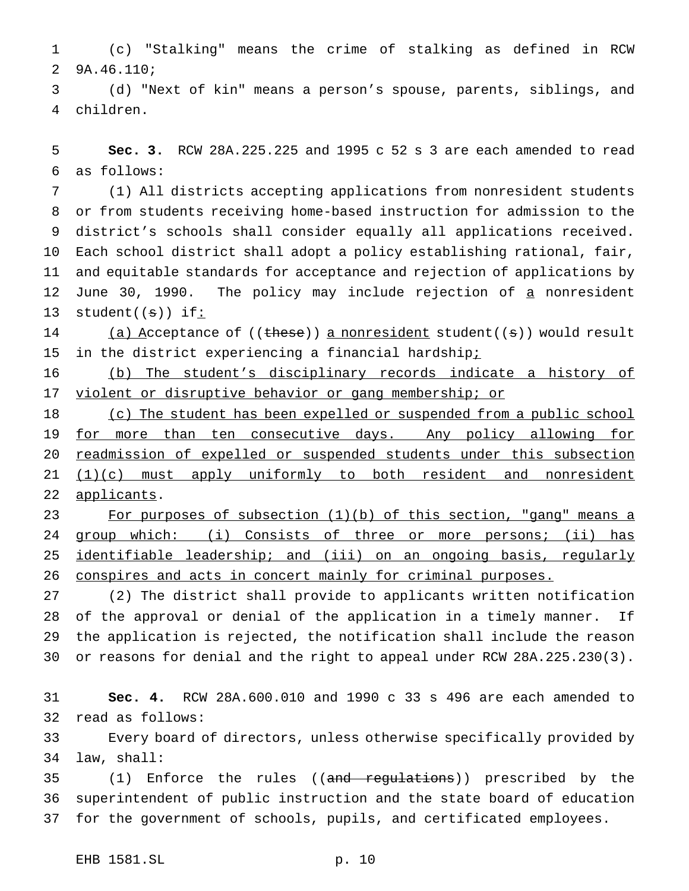(c) "Stalking" means the crime of stalking as defined in RCW 9A.46.110;

 (d) "Next of kin" means a person's spouse, parents, siblings, and children.

 **Sec. 3.** RCW 28A.225.225 and 1995 c 52 s 3 are each amended to read as follows:

 (1) All districts accepting applications from nonresident students or from students receiving home-based instruction for admission to the district's schools shall consider equally all applications received. Each school district shall adopt a policy establishing rational, fair, and equitable standards for acceptance and rejection of applications by 12 June 30, 1990. The policy may include rejection of a nonresident 13 student $((s))$  if:

14 (a) Acceptance of ((these)) a nonresident student((s)) would result 15 in the district experiencing a financial hardshipi

 (b) The student's disciplinary records indicate a history of 17 violent or disruptive behavior or gang membership; or

18 (c) The student has been expelled or suspended from a public school 19 for more than ten consecutive days. Any policy allowing for readmission of expelled or suspended students under this subsection 21 (1)(c) must apply uniformly to both resident and nonresident 22 applicants.

 For purposes of subsection (1)(b) of this section, "gang" means a 24 group which: (i) Consists of three or more persons; (ii) has 25 identifiable leadership; and (iii) on an ongoing basis, regularly conspires and acts in concert mainly for criminal purposes.

 (2) The district shall provide to applicants written notification of the approval or denial of the application in a timely manner. If the application is rejected, the notification shall include the reason or reasons for denial and the right to appeal under RCW 28A.225.230(3).

 **Sec. 4.** RCW 28A.600.010 and 1990 c 33 s 496 are each amended to read as follows:

 Every board of directors, unless otherwise specifically provided by law, shall:

35 (1) Enforce the rules ((and regulations)) prescribed by the superintendent of public instruction and the state board of education for the government of schools, pupils, and certificated employees.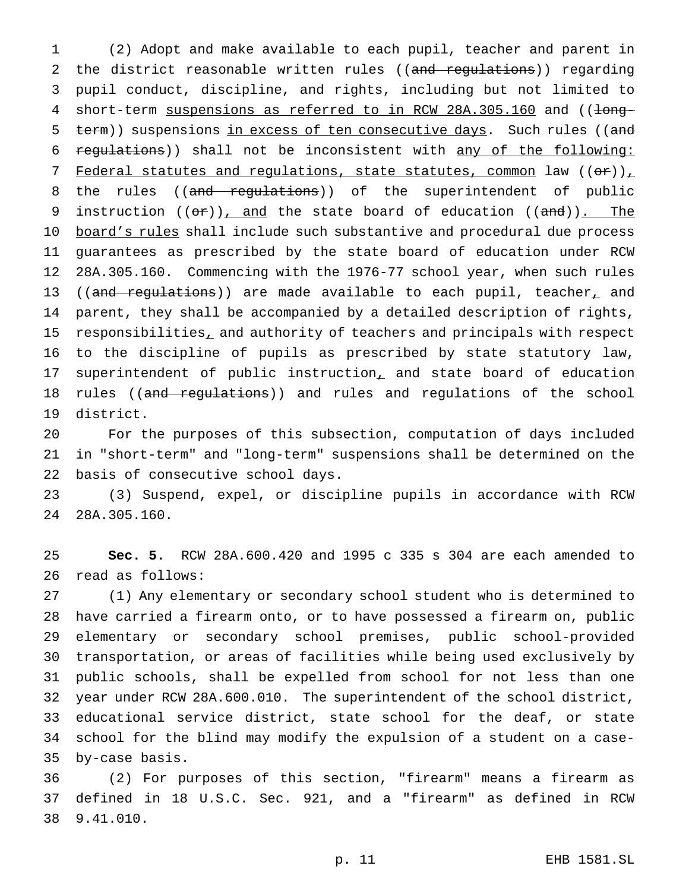(2) Adopt and make available to each pupil, teacher and parent in 2 the district reasonable written rules ((and regulations)) regarding pupil conduct, discipline, and rights, including but not limited to 4 short-term suspensions as referred to in RCW 28A.305.160 and ((long-5 term)) suspensions in excess of ten consecutive days. Such rules ((and regulations)) shall not be inconsistent with any of the following: 7 Federal statutes and regulations, state statutes, common law  $((\theta \cdot \tau))_+$ 8 the rules ((and regulations)) of the superintendent of public 9 instruction  $((\theta \cdot \tau))$ , and the state board of education  $((\theta \cdot \theta))$ . The 10 board's rules shall include such substantive and procedural due process guarantees as prescribed by the state board of education under RCW 28A.305.160. Commencing with the 1976-77 school year, when such rules 13 ((and regulations)) are made available to each pupil, teacher, and parent, they shall be accompanied by a detailed description of rights, 15 responsibilities, and authority of teachers and principals with respect to the discipline of pupils as prescribed by state statutory law, 17 superintendent of public instruction, and state board of education 18 rules ((and regulations)) and rules and regulations of the school district.

 For the purposes of this subsection, computation of days included in "short-term" and "long-term" suspensions shall be determined on the basis of consecutive school days.

 (3) Suspend, expel, or discipline pupils in accordance with RCW 28A.305.160.

 **Sec. 5.** RCW 28A.600.420 and 1995 c 335 s 304 are each amended to read as follows:

 (1) Any elementary or secondary school student who is determined to have carried a firearm onto, or to have possessed a firearm on, public elementary or secondary school premises, public school-provided transportation, or areas of facilities while being used exclusively by public schools, shall be expelled from school for not less than one year under RCW 28A.600.010. The superintendent of the school district, educational service district, state school for the deaf, or state school for the blind may modify the expulsion of a student on a case-by-case basis.

 (2) For purposes of this section, "firearm" means a firearm as defined in 18 U.S.C. Sec. 921, and a "firearm" as defined in RCW 9.41.010.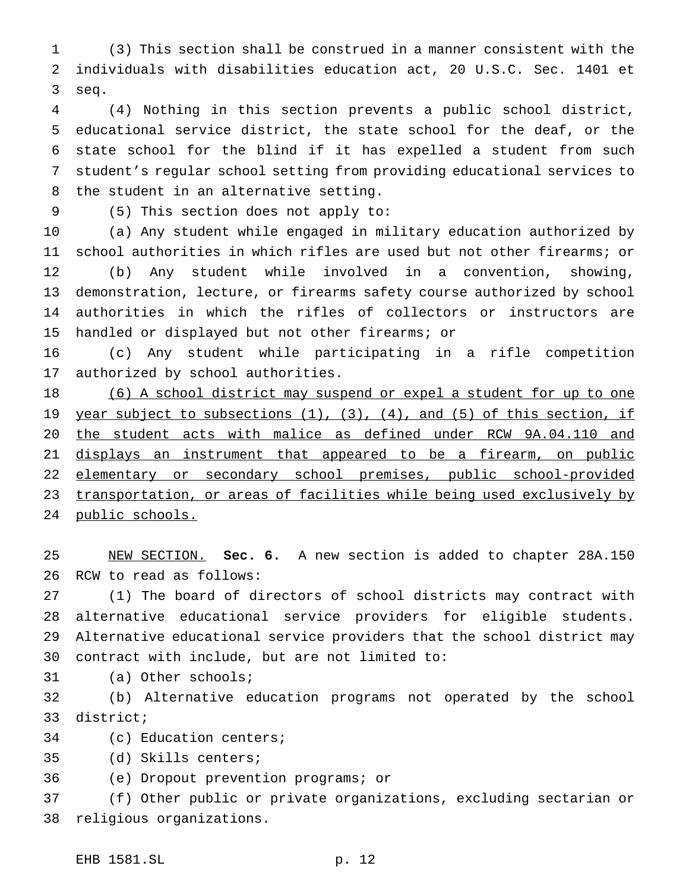(3) This section shall be construed in a manner consistent with the individuals with disabilities education act, 20 U.S.C. Sec. 1401 et seq.

 (4) Nothing in this section prevents a public school district, educational service district, the state school for the deaf, or the state school for the blind if it has expelled a student from such student's regular school setting from providing educational services to the student in an alternative setting.

(5) This section does not apply to:

 (a) Any student while engaged in military education authorized by school authorities in which rifles are used but not other firearms; or (b) Any student while involved in a convention, showing, demonstration, lecture, or firearms safety course authorized by school authorities in which the rifles of collectors or instructors are handled or displayed but not other firearms; or

 (c) Any student while participating in a rifle competition authorized by school authorities.

18 (6) A school district may suspend or expel a student for up to one 19 year subject to subsections (1), (3), (4), and (5) of this section, if the student acts with malice as defined under RCW 9A.04.110 and 21 displays an instrument that appeared to be a firearm, on public elementary or secondary school premises, public school-provided transportation, or areas of facilities while being used exclusively by public schools.

 NEW SECTION. **Sec. 6.** A new section is added to chapter 28A.150 RCW to read as follows:

 (1) The board of directors of school districts may contract with alternative educational service providers for eligible students. Alternative educational service providers that the school district may contract with include, but are not limited to:

(a) Other schools;

 (b) Alternative education programs not operated by the school district;

(c) Education centers;

(d) Skills centers;

(e) Dropout prevention programs; or

 (f) Other public or private organizations, excluding sectarian or religious organizations.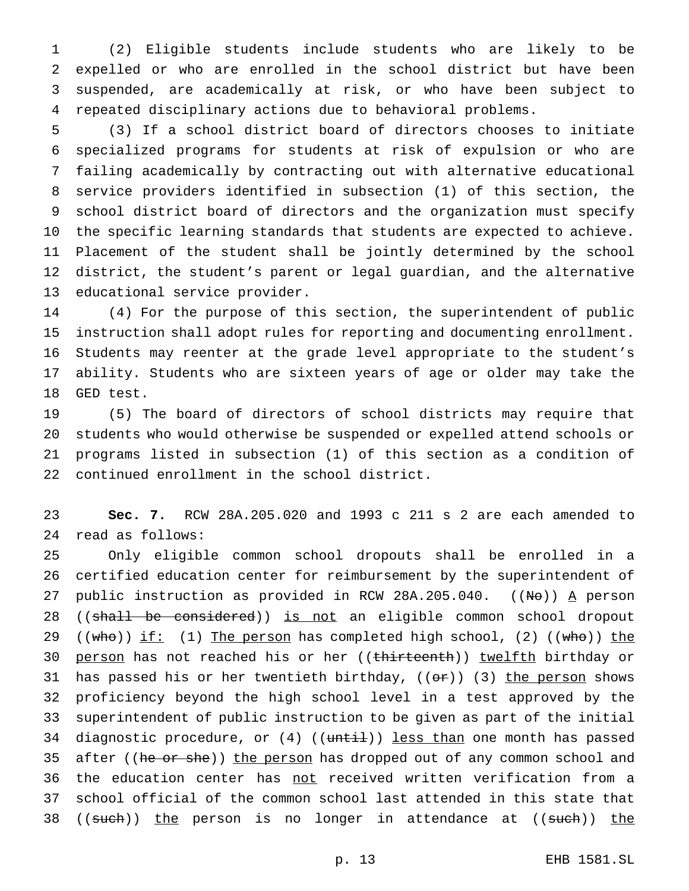(2) Eligible students include students who are likely to be expelled or who are enrolled in the school district but have been suspended, are academically at risk, or who have been subject to repeated disciplinary actions due to behavioral problems.

 (3) If a school district board of directors chooses to initiate specialized programs for students at risk of expulsion or who are failing academically by contracting out with alternative educational service providers identified in subsection (1) of this section, the school district board of directors and the organization must specify the specific learning standards that students are expected to achieve. Placement of the student shall be jointly determined by the school district, the student's parent or legal guardian, and the alternative educational service provider.

 (4) For the purpose of this section, the superintendent of public instruction shall adopt rules for reporting and documenting enrollment. Students may reenter at the grade level appropriate to the student's ability. Students who are sixteen years of age or older may take the GED test.

 (5) The board of directors of school districts may require that students who would otherwise be suspended or expelled attend schools or programs listed in subsection (1) of this section as a condition of continued enrollment in the school district.

 **Sec. 7.** RCW 28A.205.020 and 1993 c 211 s 2 are each amended to read as follows:

 Only eligible common school dropouts shall be enrolled in a certified education center for reimbursement by the superintendent of 27 public instruction as provided in RCW 28A.205.040.  $((N\Theta))$  A person 28 ((shall be considered)) is not an eligible common school dropout 29 ((who)) if: (1) The person has completed high school, (2) ((who)) the 30 person has not reached his or her ((thirteenth)) twelfth birthday or 31 has passed his or her twentieth birthday,  $((or))$  (3) the person shows proficiency beyond the high school level in a test approved by the superintendent of public instruction to be given as part of the initial 34 diagnostic procedure, or (4) ((until)) less than one month has passed 35 after ((he or she)) the person has dropped out of any common school and 36 the education center has not received written verification from a school official of the common school last attended in this state that 38 ((such)) the person is no longer in attendance at ((such)) the